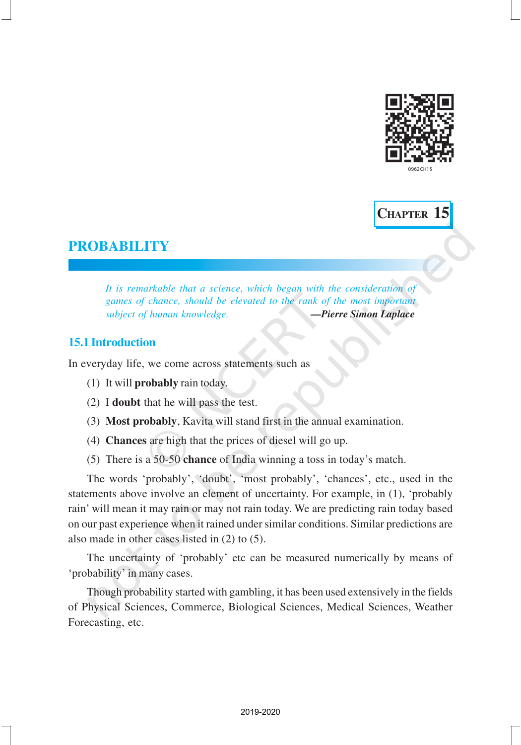



## **PROBABILITY**

*It is remarkable that a science, which began with the consideration of games of chance, should be elevated to the rank of the most important subject of human knowledge. —Pierre Simon Laplace*

## **15.1 Introduction**

In everyday life, we come across statements such as

- (1) It will **probably** rain today.
- (2) I **doubt** that he will pass the test.
- (3) **Most probably**, Kavita will stand first in the annual examination.
- (4) **Chances** are high that the prices of diesel will go up.
- (5) There is a 50-50 **chance** of India winning a toss in today's match.

The words 'probably', 'doubt', 'most probably', 'chances', etc., used in the statements above involve an element of uncertainty. For example, in (1), 'probably rain' will mean it may rain or may not rain today. We are predicting rain today based on our past experience when it rained under similar conditions. Similar predictions are also made in other cases listed in (2) to (5).

The uncertainty of 'probably' etc can be measured numerically by means of 'probability' in many cases.

Though probability started with gambling, it has been used extensively in the fields of Physical Sciences, Commerce, Biological Sciences, Medical Sciences, Weather Forecasting, etc.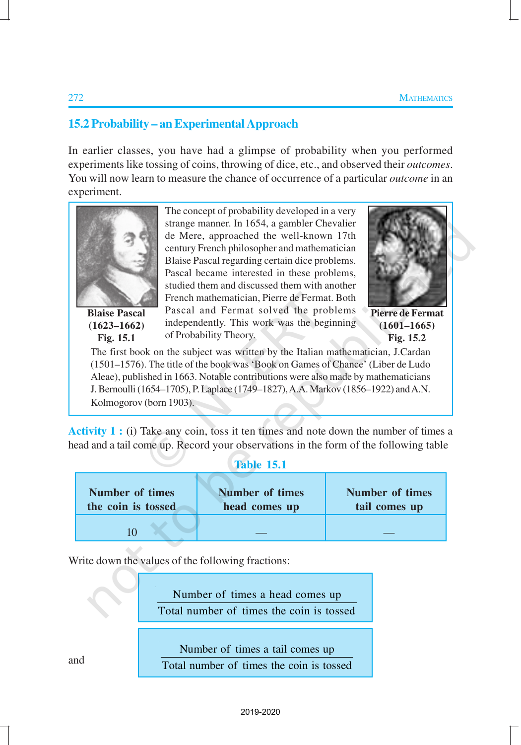## **15.2 Probability – an Experimental Approach**

In earlier classes, you have had a glimpse of probability when you performed experiments like tossing of coins, throwing of dice, etc., and observed their *outcomes*. You will now learn to measure the chance of occurrence of a particular *outcome* in an experiment.



**Blaise Pascal (1623–1662) Fig. 15.1**

The concept of probability developed in a very strange manner. In 1654, a gambler Chevalier de Mere, approached the well-known 17th century French philosopher and mathematician Blaise Pascal regarding certain dice problems. Pascal became interested in these problems, studied them and discussed them with another French mathematician, Pierre de Fermat. Both Pascal and Fermat solved the problems independently. This work was the beginning of Probability Theory.



**Pierre de Fermat (1601–1665) Fig. 15.2**

The first book on the subject was written by the Italian mathematician, J.Cardan (1501–1576). The title of the book was 'Book on Games of Chance' (Liber de Ludo Aleae), published in 1663. Notable contributions were also made by mathematicians J. Bernoulli (1654–1705), P. Laplace (1749–1827), A.A. Markov (1856–1922) and A.N. Kolmogorov (born 1903).

Activity 1 : (i) Take any coin, toss it ten times and note down the number of times a head and a tail come up. Record your observations in the form of the following table

#### **Table 15.1**

| Number of times    | <b>Number of times</b> | <b>Number of times</b> |
|--------------------|------------------------|------------------------|
| the coin is tossed | head comes up          | tail comes up          |
|                    |                        |                        |

Write down the values of the following fractions:

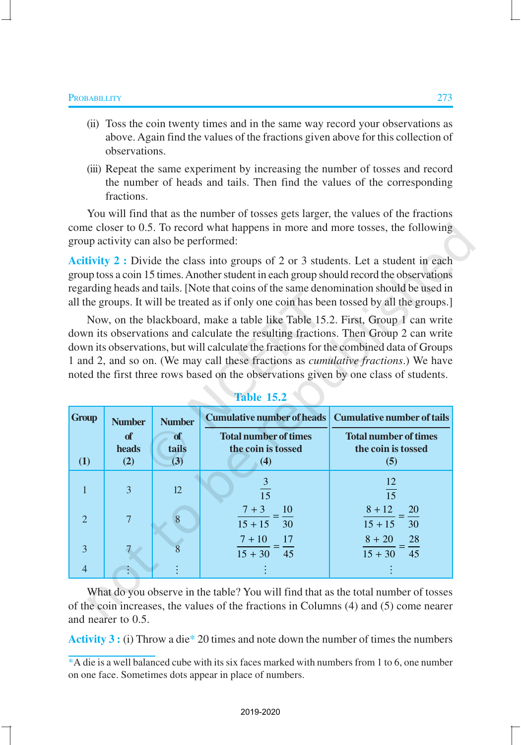- (ii) Toss the coin twenty times and in the same way record your observations as above. Again find the values of the fractions given above for this collection of observations.
- (iii) Repeat the same experiment by increasing the number of tosses and record the number of heads and tails. Then find the values of the corresponding fractions.

You will find that as the number of tosses gets larger, the values of the fractions come closer to 0.5. To record what happens in more and more tosses, the following group activity can also be performed:

**Acitivity 2 :** Divide the class into groups of 2 or 3 students. Let a student in each group toss a coin 15 times. Another student in each group should record the observations regarding heads and tails. [Note that coins of the same denomination should be used in all the groups. It will be treated as if only one coin has been tossed by all the groups.]

Now, on the blackboard, make a table like Table 15.2. First, Group 1 can write down its observations and calculate the resulting fractions. Then Group 2 can write down its observations, but will calculate the fractions for the combined data of Groups 1 and 2, and so on. (We may call these fractions as *cumulative fractions*.) We have noted the first three rows based on the observations given by one class of students.

| <b>Group</b>     | <b>Number</b> | <b>Number</b> | Cumulative number of heads Cumulative number of tails |                                                    |  |
|------------------|---------------|---------------|-------------------------------------------------------|----------------------------------------------------|--|
|                  | of<br>heads   | of<br>tails   | <b>Total number of times</b><br>the coin is tossed    | <b>Total number of times</b><br>the coin is tossed |  |
| $\left(1\right)$ | (2)           | (3)           | (4)                                                   | (5)                                                |  |
|                  | 3             | 12            | 3<br>15                                               | 12<br>15                                           |  |
| $\mathcal{D}$    | 7             |               | $7 + 3$<br>10<br>$15 + 15$<br>- 30                    | $8 + 12$<br><b>20</b><br>$15 + 15$<br>30           |  |
| 3                |               |               | $7 + 10$<br>-17<br>$15 + 30 + 45$                     | 28<br>$8 + 20$<br>$15 + 30$<br>45                  |  |
| 4                |               |               |                                                       |                                                    |  |

**Table 15.2**

What do you observe in the table? You will find that as the total number of tosses of the coin increases, the values of the fractions in Columns (4) and (5) come nearer and nearer to 0.5.

**Activity 3 :** (i) Throw a die\* 20 times and note down the number of times the numbers

<sup>\*</sup>A die is a well balanced cube with its six faces marked with numbers from 1 to 6, one number on one face. Sometimes dots appear in place of numbers.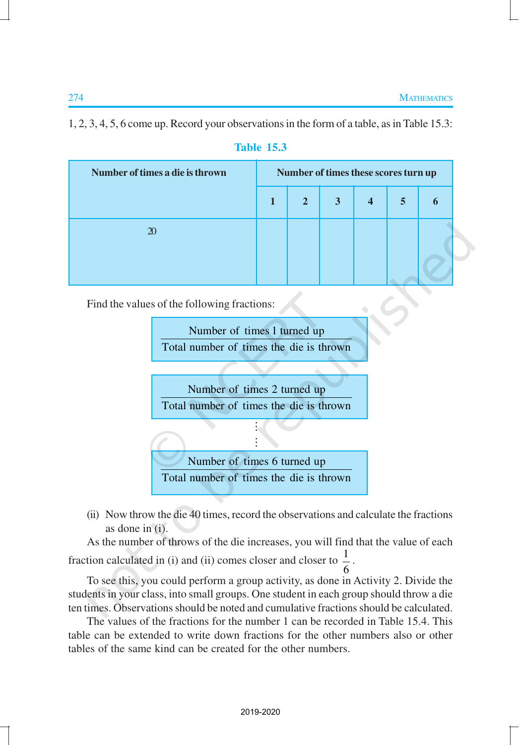1, 2, 3, 4, 5, 6 come up. Record your observations in the form of a table, as in Table 15.3:

| Number of times a die is thrown | Number of times these scores turn up |   |                         |   |   |
|---------------------------------|--------------------------------------|---|-------------------------|---|---|
|                                 | 2 <sup>7</sup>                       | 3 | $\overline{\mathbf{4}}$ | 5 | 6 |
| 20                              |                                      |   |                         |   |   |
|                                 |                                      |   |                         |   |   |

## **Table 15.3**

Find the values of the following fractions:

Number of times 1 turned up Total number of times the die is thrown

Number of times 2 turned up Total number of times the die is thrown

 $\vdots$ 



(ii) Now throw the die 40 times, record the observations and calculate the fractions as done in (i).

As the number of throws of the die increases, you will find that the value of each fraction calculated in (i) and (ii) comes closer and closer to  $\frac{1}{2}$ 6 .

To see this, you could perform a group activity, as done in Activity 2. Divide the students in your class, into small groups. One student in each group should throw a die ten times. Observations should be noted and cumulative fractions should be calculated.

The values of the fractions for the number 1 can be recorded in Table 15.4. This table can be extended to write down fractions for the other numbers also or other tables of the same kind can be created for the other numbers.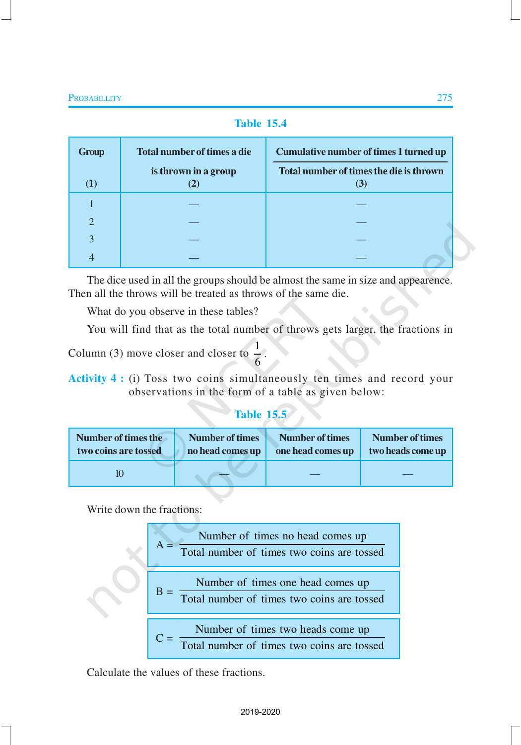## **Table 15.4**

| <b>Group</b>   | Total number of times a die | <b>Cumulative number of times 1 turned up</b>  |
|----------------|-----------------------------|------------------------------------------------|
| $\bf(1)$       | is thrown in a group        | Total number of times the die is thrown<br>(3) |
|                |                             |                                                |
| $\overline{2}$ |                             |                                                |
| 3              |                             |                                                |
| 4              |                             |                                                |

The dice used in all the groups should be almost the same in size and appearence. Then all the throws will be treated as throws of the same die.

What do you observe in these tables?

You will find that as the total number of throws gets larger, the fractions in

.

Column (3) move closer and closer to  $\frac{1}{2}$ 6

**Activity 4 :** (i) Toss two coins simultaneously ten times and record your observations in the form of a table as given below:

## **Table 15.5**

| Number of times the  | Number of times  | <b>Number of times</b> | <b>Number of times</b> |
|----------------------|------------------|------------------------|------------------------|
| two coins are tossed | no head comes up | one head comes up      | two heads come up      |
|                      |                  |                        |                        |

Write down the fractions:



Calculate the values of these fractions.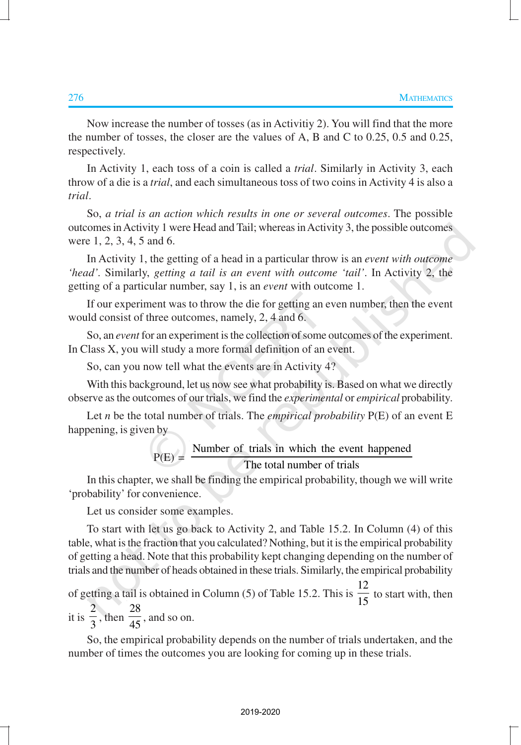Now increase the number of tosses (as in Activitiy 2). You will find that the more the number of tosses, the closer are the values of A, B and C to 0.25, 0.5 and 0.25, respectively.

In Activity 1, each toss of a coin is called a *trial*. Similarly in Activity 3, each throw of a die is a *trial*, and each simultaneous toss of two coins in Activity 4 is also a *trial*.

So, *a trial is an action which results in one or several outcomes*. The possible outcomes in Activity 1 were Head and Tail; whereas in Activity 3, the possible outcomes were 1, 2, 3, 4, 5 and 6.

In Activity 1, the getting of a head in a particular throw is an *event with outcome 'head'.* Similarly, *getting a tail is an event with outcome 'tail'*. In Activity 2, the getting of a particular number, say 1, is an *event* with outcome 1.

If our experiment was to throw the die for getting an even number, then the event would consist of three outcomes, namely, 2, 4 and 6.

So, an *event* for an experiment is the collection of some outcomes of the experiment. In Class X, you will study a more formal definition of an event.

So, can you now tell what the events are in Activity 4?

With this background, let us now see what probability is. Based on what we directly observe as the outcomes of our trials, we find the *experimental* or *empirical* probability.

Let *n* be the total number of trials. The *empirical probability* P(E) of an event E happening, is given by

$$
P(E) = \frac{Number of trials in which the event happened}{The total number of trials}
$$

In this chapter, we shall be finding the empirical probability, though we will write 'probability' for convenience.

Let us consider some examples.

To start with let us go back to Activity 2, and Table 15.2. In Column (4) of this table, what is the fraction that you calculated? Nothing, but it is the empirical probability of getting a head. Note that this probability kept changing depending on the number of trials and the number of heads obtained in these trials. Similarly, the empirical probability

of getting a tail is obtained in Column (5) of Table 15.2. This is 12  $\frac{1}{15}$  to start with, then it is 2  $\frac{1}{3}$ , then 28  $\frac{1}{45}$ , and so on.

So, the empirical probability depends on the number of trials undertaken, and the number of times the outcomes you are looking for coming up in these trials.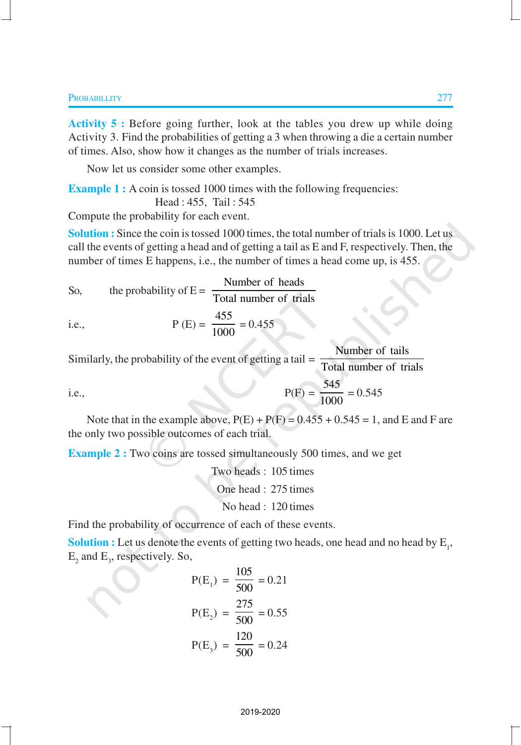**Activity 5 :** Before going further, look at the tables you drew up while doing Activity 3. Find the probabilities of getting a 3 when throwing a die a certain number of times. Also, show how it changes as the number of trials increases.

Now let us consider some other examples.

**Example 1 :** A coin is tossed 1000 times with the following frequencies:

Head : 455, Tail : 545

Compute the probability for each event.

**Solution :** Since the coin is tossed 1000 times, the total number of trials is 1000. Let us call the events of getting a head and of getting a tail as E and F, respectively. Then, the number of times E happens, i.e., the number of times a head come up, is 455.

So, the probability of E = 
$$
\frac{\text{Number of heads}}{\text{Total number of trials}}
$$
  
i.e. 
$$
P(F) = \frac{455}{450} = 0.455
$$

i.e., 
$$
P(E) = \frac{435}{1000} = 0.455
$$

Similarly, the probability of the event of getting a tail = Number of tails Total number of trials

i.e.,  $P(F) = \frac{545}{1000}$ 

Note that in the example above,  $P(E) + P(F) = 0.455 + 0.545 = 1$ , and E and F are the only two possible outcomes of each trial.

1000

 $= 0.545$ 

**Example 2 :** Two coins are tossed simultaneously 500 times, and we get

Two heads : 105 times One head : 275 times No head : 120 times

Find the probability of occurrence of each of these events.

**Solution :** Let us denote the events of getting two heads, one head and no head by  $E_1$ ,  $E_2$  and  $E_3$ , respectively. So,

$$
P(E_1) = \frac{105}{500} = 0.21
$$
  

$$
P(E_2) = \frac{275}{500} = 0.55
$$
  

$$
P(E_3) = \frac{120}{500} = 0.24
$$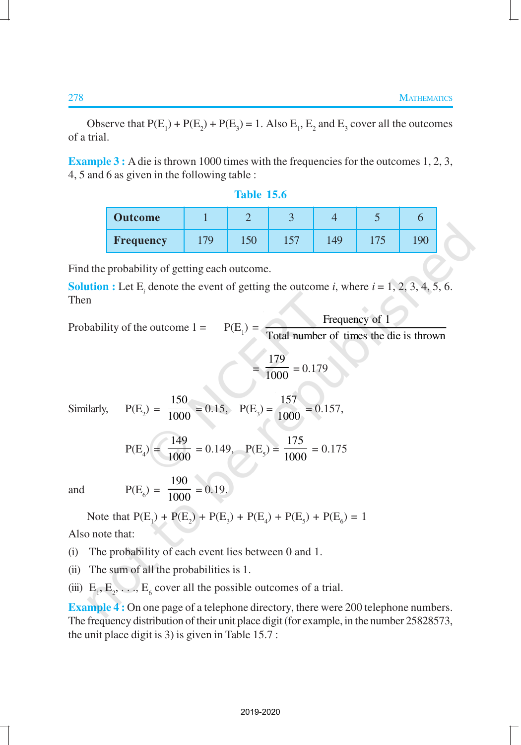Observe that  $P(E_1) + P(E_2) + P(E_3) = 1$ . Also  $E_1$ ,  $E_2$  and  $E_3$  cover all the outcomes of a trial.

**Example 3 :** A die is thrown 1000 times with the frequencies for the outcomes 1, 2, 3, 4, 5 and 6 as given in the following table :

| Table<br>15.6 |  |  |
|---------------|--|--|
|               |  |  |
|               |  |  |

| <b>Outcome</b> |     |     |     |    |     |  |
|----------------|-----|-----|-----|----|-----|--|
| Frequency      | 17Q | 150 | 157 | 49 | 175 |  |

Find the probability of getting each outcome.

**Solution :** Let  $E_i$  denote the event of getting the outcome *i*, where  $i = 1, 2, 3, 4, 5, 6$ . Then

Probability of the outcome  $1 =$ 

 $P(E_{1})$ Frequency of 1 Total number of times the die is thrown

$$
=\frac{179}{1000} = 0.179
$$

Similarly

$$
P(E_2) = \frac{150}{1000} = 0.15
$$
,  $P(E_3) = \frac{157}{1000} = 0.157$ ,

$$
P(E_4) = \frac{149}{1000} = 0.149
$$
,  $P(E_5) = \frac{175}{1000} = 0.175$ 

and

$$
P(E_6) = \frac{190}{1000} = 0.19.
$$

Note that 
$$
P(E_1) + P(E_2) + P(E_3) + P(E_4) + P(E_5) + P(E_6) = 1
$$

Also note that:

(i) The probability of each event lies between 0 and 1.

(ii) The sum of all the probabilities is 1.

(iii)  $E_1, E_2, \ldots, E_6$  cover all the possible outcomes of a trial.

**Example 4:** On one page of a telephone directory, there were 200 telephone numbers. The frequency distribution of their unit place digit (for example, in the number 25828573, the unit place digit is 3) is given in Table 15.7 :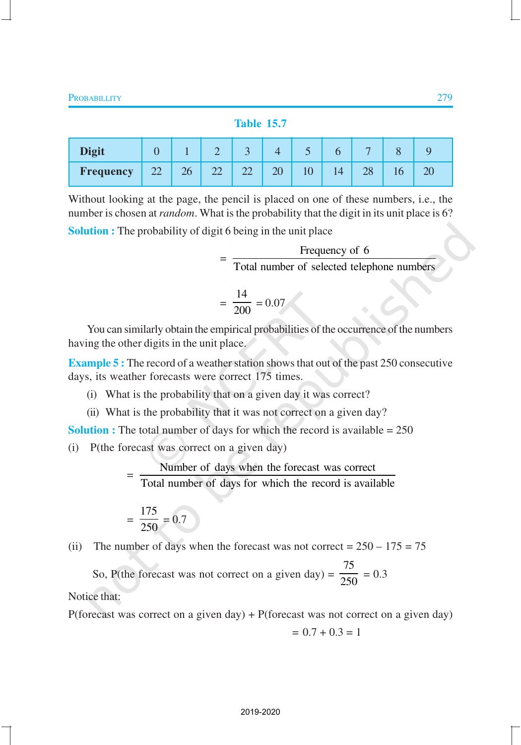#### **Table 15.7**

| <b>Digit</b>     |    |    |                          | $\sqrt{2}$ |                                | ັ |                | $\overline{\phantom{0}}$ |  |
|------------------|----|----|--------------------------|------------|--------------------------------|---|----------------|--------------------------|--|
| <b>Frequency</b> | 22 | 26 | $\overline{\phantom{m}}$ | سەسە       | $\overline{\mathcal{U}}$<br>∠∪ |   | $\overline{A}$ | 20                       |  |

Without looking at the page, the pencil is placed on one of these numbers, i.e., the number is chosen at *random*. What is the probability that the digit in its unit place is 6?

**Solution :** The probability of digit 6 being in the unit place

| Frequency of 6                             |
|--------------------------------------------|
| Total number of selected telephone numbers |
| 14<br>$\frac{1}{2} = 0.07$                 |

You can similarly obtain the empirical probabilities of the occurrence of the numbers having the other digits in the unit place.

**Example 5 :** The record of a weather station shows that out of the past 250 consecutive days, its weather forecasts were correct 175 times.

- (i) What is the probability that on a given day it was correct?
- (ii) What is the probability that it was not correct on a given day?

**Solution :** The total number of days for which the record is available = 250

(i) P(the forecast was correct on a given day)

= Number of days when the forecast was correct Total number of days for which the record is available

$$
=\frac{175}{250}=0.7
$$

(ii) The number of days when the forecast was not correct =  $250 - 175 = 75$ 

So, P(the forecast was not correct on a given day)  $=$ 75  $\frac{1}{250} = 0.3$ 

Notice that:

P(forecast was correct on a given day) + P(forecast was not correct on a given day)

$$
= 0.7 + 0.3 = 1
$$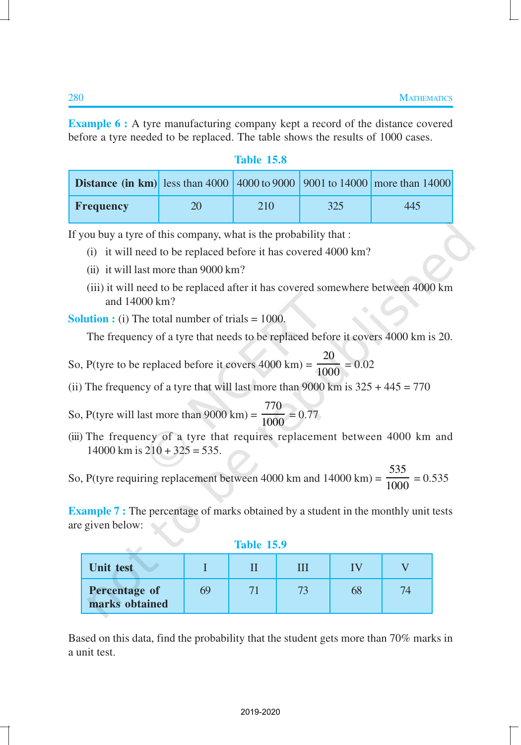**Example 6 :** A tyre manufacturing company kept a record of the distance covered before a tyre needed to be replaced. The table shows the results of 1000 cases.

| Table |  |     |
|-------|--|-----|
|       |  | ъo. |
|       |  |     |

| <b>Distance (in km)</b> less than 4000   4000 to 9000   9001 to 14000   more than 14000 |    |     |     |     |
|-----------------------------------------------------------------------------------------|----|-----|-----|-----|
| <b>Frequency</b>                                                                        | 20 | 210 | 325 | 445 |

If you buy a tyre of this company, what is the probability that :

- (i) it will need to be replaced before it has covered 4000 km?
- (ii) it will last more than 9000 km?
- (iii) it will need to be replaced after it has covered somewhere between 4000 km and 14000 km?

**Solution :** (i) The total number of trials = 1000.

The frequency of a tyre that needs to be replaced before it covers 4000 km is 20.

- So, P(tyre to be replaced before it covers  $4000 \text{ km}$ ) = 20  $\frac{1}{1000}$  = 0.02
- (ii) The frequency of a tyre that will last more than 9000 km is  $325 + 445 = 770$

So, P(tyre will last more than 9000 km) = 770  $\frac{1000}{1000} = 0.77$ 

(iii) The frequency of a tyre that requires replacement between 4000 km and  $14000$  km is  $210 + 325 = 535$ .

So, P(tyre requiring replacement between 4000 km and 14000 km) = 535  $\frac{100}{1000} = 0.535$ 

**Example 7 :** The percentage of marks obtained by a student in the monthly unit tests are given below:

**Table 15.9**

| Unit test                       |    |  |    |  |
|---------------------------------|----|--|----|--|
| Percentage of<br>marks obtained | 69 |  | 68 |  |

Based on this data, find the probability that the student gets more than 70% marks in a unit test.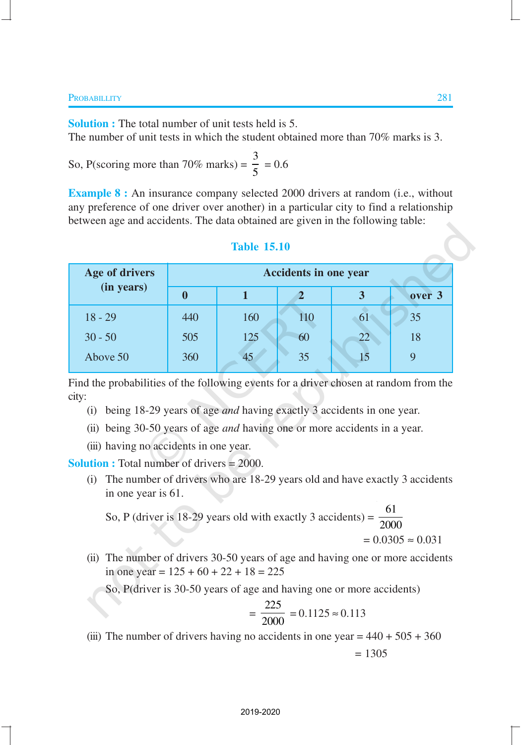**Solution :** The total number of unit tests held is 5. The number of unit tests in which the student obtained more than 70% marks is 3.

So, P (scoring more than 70% marks) = 
$$
\frac{3}{5}
$$
 = 0.6

**Example 8 :** An insurance company selected 2000 drivers at random (i.e., without any preference of one driver over another) in a particular city to find a relationship between age and accidents. The data obtained are given in the following table:

# **Age of drivers Accidents in one year (in years) 0 1 2 3 over 3** 18 - 29 440 160 10 61 35  $30 - 50$  505 125 60 22 18 Above 50 360 45 35 15 9

#### **Table 15.10**

Find the probabilities of the following events for a driver chosen at random from the city:

- (i) being 18-29 years of age *and* having exactly 3 accidents in one year.
- (ii) being 30-50 years of age *and* having one or more accidents in a year.
- (iii) having no accidents in one year.

**Solution :** Total number of drivers = 2000.

(i) The number of drivers who are 18-29 years old and have exactly 3 accidents in one year is 61.

So, P (driver is 18-29 years old with exactly 3 accidents) =  $\frac{61}{200}$ 2000  $= 0.0305 \approx 0.031$ 

(ii) The number of drivers 30-50 years of age and having one or more accidents in one year =  $125 + 60 + 22 + 18 = 225$ 

So, P(driver is 30-50 years of age and having one or more accidents)

$$
= \frac{225}{2000} = 0.1125 \approx 0.113
$$

(iii) The number of drivers having no accidents in one year =  $440 + 505 + 360$ 

$$
= 1305
$$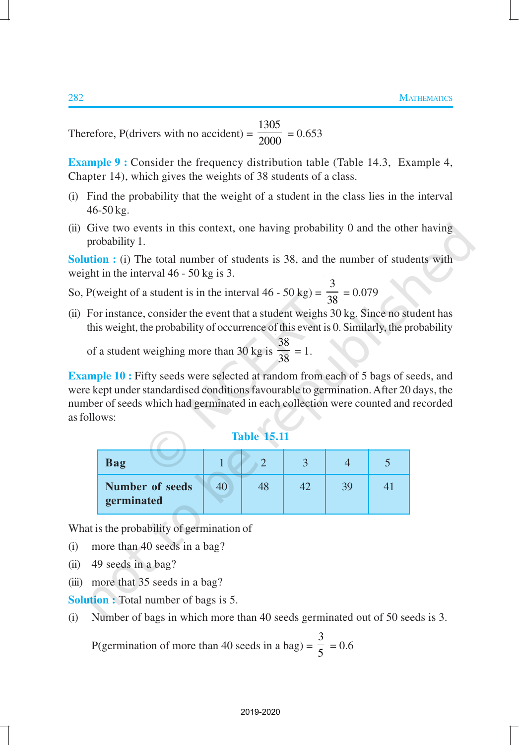Therefore,  $P$ (drivers with no accident) = 1305  $\frac{1}{2000}$  = 0.653

**Example 9 :** Consider the frequency distribution table (Table 14.3, Example 4, Chapter 14), which gives the weights of 38 students of a class.

- (i) Find the probability that the weight of a student in the class lies in the interval 46-50 kg.
- (ii) Give two events in this context, one having probability 0 and the other having probability 1.

**Solution :** (i) The total number of students is 38, and the number of students with weight in the interval 46 - 50 kg is 3.

- So, P(weight of a student is in the interval  $46 50$  kg) = 3  $\frac{1}{38} = 0.079$
- (ii) For instance, consider the event that a student weighs 30 kg. Since no student has this weight, the probability of occurrence of this event is 0. Similarly, the probability

of a student weighing more than 30 kg is 38  $\frac{38}{38} = 1.$ 

**Example 10 :** Fifty seeds were selected at random from each of 5 bags of seeds, and were kept under standardised conditions favourable to germination. After 20 days, the number of seeds which had germinated in each collection were counted and recorded as follows:

| Table |  | 15.11 |  |
|-------|--|-------|--|
|       |  |       |  |

| Bag                                  |  |    |  |
|--------------------------------------|--|----|--|
| <b>Number of seeds</b><br>germinated |  | 39 |  |

What is the probability of germination of

- (i) more than 40 seeds in a bag?
- (ii) 49 seeds in a bag?
- (iii) more that 35 seeds in a bag?

**Solution :** Total number of bags is 5.

(i) Number of bags in which more than 40 seeds germinated out of 50 seeds is 3.

P(germination of more than 40 seeds in a bag) =  $\frac{1}{5}$ 3  $= 0.6$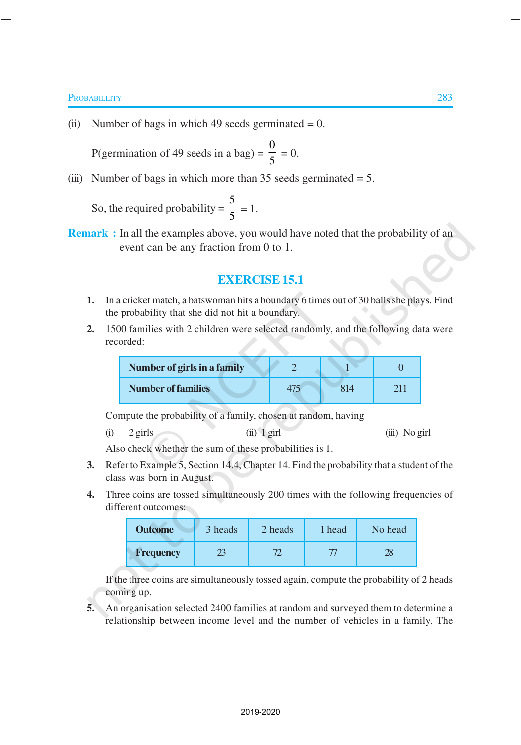#### **PROBABILLITY** 283

(ii) Number of bags in which 49 seeds germinated  $= 0$ .

P(germination of 49 seeds in a bag)  $=$ 0  $\frac{1}{5} = 0.$ 

(iii) Number of bags in which more than  $35$  seeds germinated =  $5$ .

So, the required probability = 5  $\frac{1}{5} = 1.$ 

**Remark :** In all the examples above, you would have noted that the probability of an event can be any fraction from 0 to 1.

#### **EXERCISE 15.1**

- **1.** In a cricket match, a batswoman hits a boundary 6 times out of 30 balls she plays. Find the probability that she did not hit a boundary.
- **2.** 1500 families with 2 children were selected randomly, and the following data were recorded:

| Number of girls in a family |  |  |
|-----------------------------|--|--|
| <b>Number of families</b>   |  |  |

Compute the probability of a family, chosen at random, having

(i) 2 girls (ii) 1 girl (iii) No girl

Also check whether the sum of these probabilities is 1.

- **3.** Refer to Example 5, Section 14.4, Chapter 14. Find the probability that a student of the class was born in August.
- **4.** Three coins are tossed simultaneously 200 times with the following frequencies of different outcomes:

| <b>Outcome</b>   | 3 heads | 2 heads | 1 head | No head |
|------------------|---------|---------|--------|---------|
| <b>Frequency</b> |         |         |        |         |

If the three coins are simultaneously tossed again, compute the probability of 2 heads coming up.

**5.** An organisation selected 2400 families at random and surveyed them to determine a relationship between income level and the number of vehicles in a family. The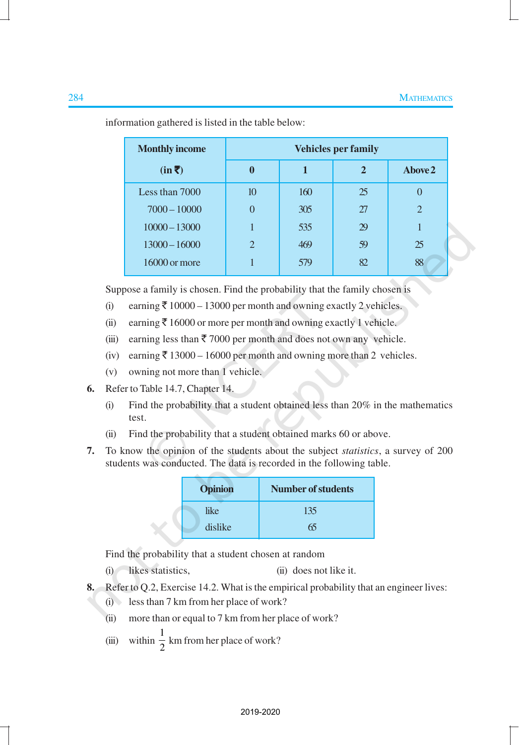| <b>Monthly income</b> | <b>Vehicles per family</b> |     |              |               |
|-----------------------|----------------------------|-----|--------------|---------------|
| $(in \bar{\bar{z}})$  | $\boldsymbol{0}$           | 1   | $\mathbf{2}$ | Above 2       |
| Less than 7000        | 10                         | 160 | 25           |               |
| $7000 - 10000$        | $\theta$                   | 305 | 27           | $\mathcal{L}$ |
| $10000 - 13000$       | 1                          | 535 | 29           |               |
| $13000 - 16000$       | $\overline{2}$             | 469 | 59           | 25            |
| $16000$ or more       |                            | 579 | 82           | 88            |

information gathered is listed in the table below:

Suppose a family is chosen. Find the probability that the family chosen is

- (i) earning  $\bar{\tau}$  10000 13000 per month and owning exactly 2 vehicles.
- (ii) earning  $\bar{\tau}$  16000 or more per month and owning exactly 1 vehicle.
- (iii) earning less than  $\bar{x}$  7000 per month and does not own any vehicle.
- (iv) earning  $\bar{\tau}$  13000 16000 per month and owning more than 2 vehicles.
- (v) owning not more than 1 vehicle.
- **6.** Refer to Table 14.7, Chapter 14.
	- (i) Find the probability that a student obtained less than 20% in the mathematics test.
	- (ii) Find the probability that a student obtained marks 60 or above.
- **7.** To know the opinion of the students about the subject *statistics*, a survey of 200 students was conducted. The data is recorded in the following table.

| <b>Opinion</b> | <b>Number of students</b> |
|----------------|---------------------------|
| like           | 135                       |
| dislike        | 65                        |

Find the probability that a student chosen at random

(i) likes statistics, (ii) does not like it.

- **8.** Refer to Q.2, Exercise 14.2. What is the empirical probability that an engineer lives:
	- (i) less than 7 km from her place of work?
	- (ii) more than or equal to 7 km from her place of work?
	- (iii) within  $\frac{1}{2}$  $\frac{1}{2}$  km from her place of work?